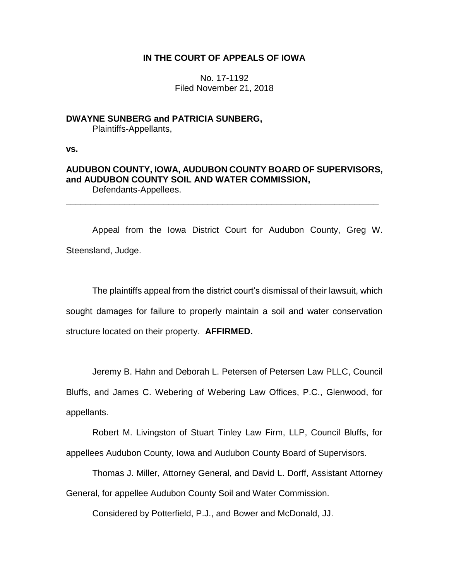# **IN THE COURT OF APPEALS OF IOWA**

No. 17-1192 Filed November 21, 2018

**DWAYNE SUNBERG and PATRICIA SUNBERG,** Plaintiffs-Appellants,

**vs.**

## **AUDUBON COUNTY, IOWA, AUDUBON COUNTY BOARD OF SUPERVISORS, and AUDUBON COUNTY SOIL AND WATER COMMISSION,** Defendants-Appellees.

\_\_\_\_\_\_\_\_\_\_\_\_\_\_\_\_\_\_\_\_\_\_\_\_\_\_\_\_\_\_\_\_\_\_\_\_\_\_\_\_\_\_\_\_\_\_\_\_\_\_\_\_\_\_\_\_\_\_\_\_\_\_\_\_

Appeal from the Iowa District Court for Audubon County, Greg W. Steensland, Judge.

The plaintiffs appeal from the district court's dismissal of their lawsuit, which sought damages for failure to properly maintain a soil and water conservation structure located on their property. **AFFIRMED.**

Jeremy B. Hahn and Deborah L. Petersen of Petersen Law PLLC, Council Bluffs, and James C. Webering of Webering Law Offices, P.C., Glenwood, for appellants.

Robert M. Livingston of Stuart Tinley Law Firm, LLP, Council Bluffs, for appellees Audubon County, Iowa and Audubon County Board of Supervisors.

Thomas J. Miller, Attorney General, and David L. Dorff, Assistant Attorney General, for appellee Audubon County Soil and Water Commission.

Considered by Potterfield, P.J., and Bower and McDonald, JJ.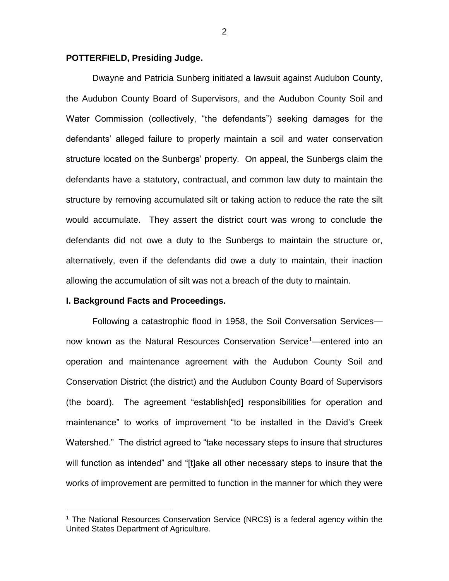## **POTTERFIELD, Presiding Judge.**

Dwayne and Patricia Sunberg initiated a lawsuit against Audubon County, the Audubon County Board of Supervisors, and the Audubon County Soil and Water Commission (collectively, "the defendants") seeking damages for the defendants' alleged failure to properly maintain a soil and water conservation structure located on the Sunbergs' property. On appeal, the Sunbergs claim the defendants have a statutory, contractual, and common law duty to maintain the structure by removing accumulated silt or taking action to reduce the rate the silt would accumulate. They assert the district court was wrong to conclude the defendants did not owe a duty to the Sunbergs to maintain the structure or, alternatively, even if the defendants did owe a duty to maintain, their inaction allowing the accumulation of silt was not a breach of the duty to maintain.

## **I. Background Facts and Proceedings.**

 $\overline{a}$ 

Following a catastrophic flood in 1958, the Soil Conversation Services now known as the Natural Resources Conservation Service<sup>1</sup>—entered into an operation and maintenance agreement with the Audubon County Soil and Conservation District (the district) and the Audubon County Board of Supervisors (the board). The agreement "establish[ed] responsibilities for operation and maintenance" to works of improvement "to be installed in the David's Creek Watershed." The district agreed to "take necessary steps to insure that structures will function as intended" and "[t]ake all other necessary steps to insure that the works of improvement are permitted to function in the manner for which they were

<sup>&</sup>lt;sup>1</sup> The National Resources Conservation Service (NRCS) is a federal agency within the United States Department of Agriculture.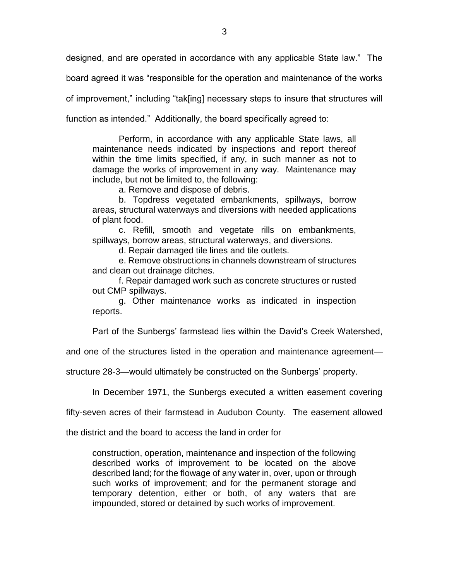designed, and are operated in accordance with any applicable State law." The

board agreed it was "responsible for the operation and maintenance of the works

of improvement," including "tak[ing] necessary steps to insure that structures will

function as intended." Additionally, the board specifically agreed to:

Perform, in accordance with any applicable State laws, all maintenance needs indicated by inspections and report thereof within the time limits specified, if any, in such manner as not to damage the works of improvement in any way. Maintenance may include, but not be limited to, the following:

a. Remove and dispose of debris.

b. Topdress vegetated embankments, spillways, borrow areas, structural waterways and diversions with needed applications of plant food.

c. Refill, smooth and vegetate rills on embankments, spillways, borrow areas, structural waterways, and diversions.

d. Repair damaged tile lines and tile outlets.

e. Remove obstructions in channels downstream of structures and clean out drainage ditches.

f. Repair damaged work such as concrete structures or rusted out CMP spillways.

g. Other maintenance works as indicated in inspection reports.

Part of the Sunbergs' farmstead lies within the David's Creek Watershed,

and one of the structures listed in the operation and maintenance agreement—

structure 28-3—would ultimately be constructed on the Sunbergs' property.

In December 1971, the Sunbergs executed a written easement covering

fifty-seven acres of their farmstead in Audubon County. The easement allowed

the district and the board to access the land in order for

construction, operation, maintenance and inspection of the following described works of improvement to be located on the above described land; for the flowage of any water in, over, upon or through such works of improvement; and for the permanent storage and temporary detention, either or both, of any waters that are impounded, stored or detained by such works of improvement.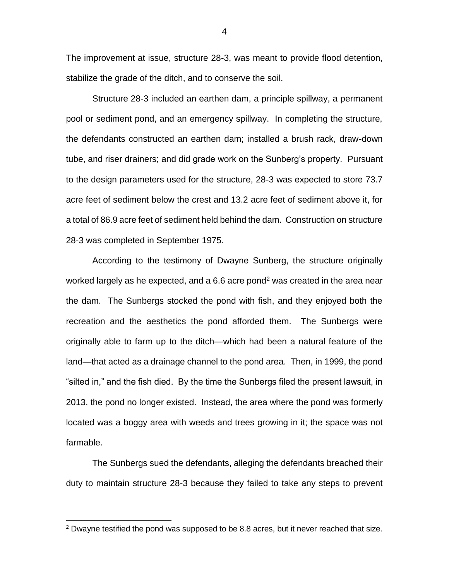The improvement at issue, structure 28-3, was meant to provide flood detention, stabilize the grade of the ditch, and to conserve the soil.

Structure 28-3 included an earthen dam, a principle spillway, a permanent pool or sediment pond, and an emergency spillway. In completing the structure, the defendants constructed an earthen dam; installed a brush rack, draw-down tube, and riser drainers; and did grade work on the Sunberg's property. Pursuant to the design parameters used for the structure, 28-3 was expected to store 73.7 acre feet of sediment below the crest and 13.2 acre feet of sediment above it, for a total of 86.9 acre feet of sediment held behind the dam. Construction on structure 28-3 was completed in September 1975.

According to the testimony of Dwayne Sunberg, the structure originally worked largely as he expected, and a 6.6 acre pond<sup>2</sup> was created in the area near the dam. The Sunbergs stocked the pond with fish, and they enjoyed both the recreation and the aesthetics the pond afforded them. The Sunbergs were originally able to farm up to the ditch—which had been a natural feature of the land—that acted as a drainage channel to the pond area. Then, in 1999, the pond "silted in," and the fish died. By the time the Sunbergs filed the present lawsuit, in 2013, the pond no longer existed. Instead, the area where the pond was formerly located was a boggy area with weeds and trees growing in it; the space was not farmable.

The Sunbergs sued the defendants, alleging the defendants breached their duty to maintain structure 28-3 because they failed to take any steps to prevent

 $\overline{a}$ 

4

 $2$  Dwayne testified the pond was supposed to be 8.8 acres, but it never reached that size.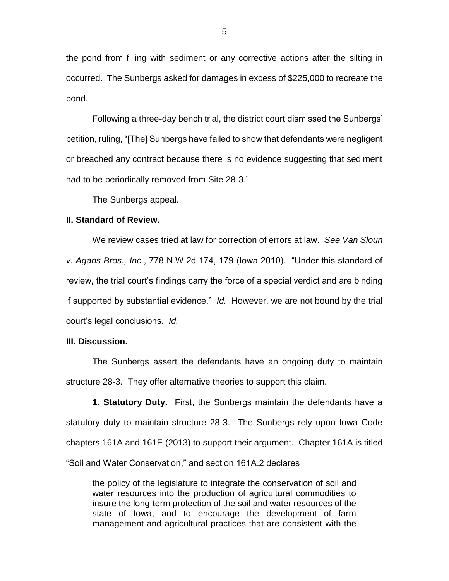the pond from filling with sediment or any corrective actions after the silting in occurred. The Sunbergs asked for damages in excess of \$225,000 to recreate the pond.

Following a three-day bench trial, the district court dismissed the Sunbergs' petition, ruling, "[The] Sunbergs have failed to show that defendants were negligent or breached any contract because there is no evidence suggesting that sediment had to be periodically removed from Site 28-3."

The Sunbergs appeal.

## **II. Standard of Review.**

We review cases tried at law for correction of errors at law. *See Van Sloun v. Agans Bros., Inc.*, 778 N.W.2d 174, 179 (Iowa 2010). "Under this standard of review, the trial court's findings carry the force of a special verdict and are binding if supported by substantial evidence." *Id.* However, we are not bound by the trial court's legal conclusions. *Id.* 

#### **III. Discussion.**

The Sunbergs assert the defendants have an ongoing duty to maintain structure 28-3. They offer alternative theories to support this claim.

**1. Statutory Duty.**First, the Sunbergs maintain the defendants have a statutory duty to maintain structure 28-3. The Sunbergs rely upon Iowa Code chapters 161A and 161E (2013) to support their argument. Chapter 161A is titled "Soil and Water Conservation," and section 161A.2 declares

the policy of the legislature to integrate the conservation of soil and water resources into the production of agricultural commodities to insure the long-term protection of the soil and water resources of the state of Iowa, and to encourage the development of farm management and agricultural practices that are consistent with the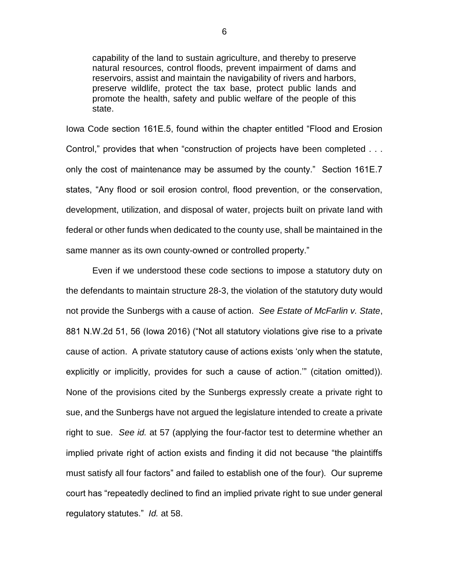capability of the land to sustain agriculture, and thereby to preserve natural resources, control floods, prevent impairment of dams and reservoirs, assist and maintain the navigability of rivers and harbors, preserve wildlife, protect the tax base, protect public lands and promote the health, safety and public welfare of the people of this state.

Iowa Code section 161E.5, found within the chapter entitled "Flood and Erosion Control," provides that when "construction of projects have been completed . . . only the cost of maintenance may be assumed by the county." Section 161E.7 states, "Any flood or soil erosion control, flood prevention, or the conservation, development, utilization, and disposal of water, projects built on private land with federal or other funds when dedicated to the county use, shall be maintained in the same manner as its own county-owned or controlled property."

Even if we understood these code sections to impose a statutory duty on the defendants to maintain structure 28-3, the violation of the statutory duty would not provide the Sunbergs with a cause of action. *See Estate of McFarlin v. State*, 881 N.W.2d 51, 56 (Iowa 2016) ("Not all statutory violations give rise to a private cause of action. A private statutory cause of actions exists 'only when the statute, explicitly or implicitly, provides for such a cause of action.'" (citation omitted)). None of the provisions cited by the Sunbergs expressly create a private right to sue, and the Sunbergs have not argued the legislature intended to create a private right to sue. *See id.* at 57 (applying the four-factor test to determine whether an implied private right of action exists and finding it did not because "the plaintiffs must satisfy all four factors" and failed to establish one of the four). Our supreme court has "repeatedly declined to find an implied private right to sue under general regulatory statutes." *Id.* at 58.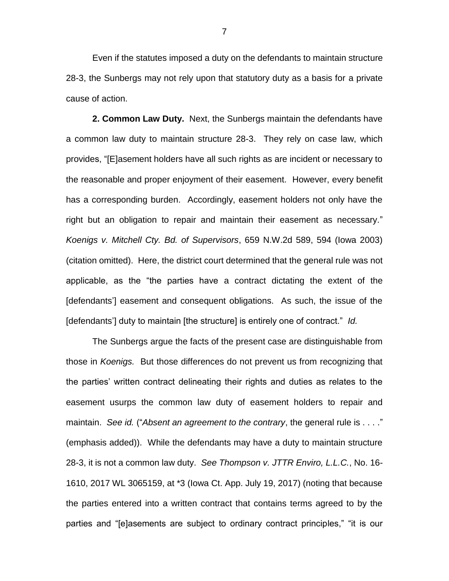Even if the statutes imposed a duty on the defendants to maintain structure 28-3, the Sunbergs may not rely upon that statutory duty as a basis for a private cause of action.

**2. Common Law Duty.** Next, the Sunbergs maintain the defendants have a common law duty to maintain structure 28-3. They rely on case law, which provides, "[E]asement holders have all such rights as are incident or necessary to the reasonable and proper enjoyment of their easement. However, every benefit has a corresponding burden. Accordingly, easement holders not only have the right but an obligation to repair and maintain their easement as necessary." *Koenigs v. Mitchell Cty. Bd. of Supervisors*, 659 N.W.2d 589, 594 (Iowa 2003) (citation omitted). Here, the district court determined that the general rule was not applicable, as the "the parties have a contract dictating the extent of the [defendants'] easement and consequent obligations. As such, the issue of the [defendants'] duty to maintain [the structure] is entirely one of contract." *Id.*

The Sunbergs argue the facts of the present case are distinguishable from those in *Koenigs.* But those differences do not prevent us from recognizing that the parties' written contract delineating their rights and duties as relates to the easement usurps the common law duty of easement holders to repair and maintain. *See id.* ("Absent an agreement to the contrary, the general rule is . . . ." (emphasis added)). While the defendants may have a duty to maintain structure 28-3, it is not a common law duty. *See Thompson v. JTTR Enviro, L.L.C.*, No. 16- 1610, 2017 WL 3065159, at \*3 (Iowa Ct. App. July 19, 2017) (noting that because the parties entered into a written contract that contains terms agreed to by the parties and "[e]asements are subject to ordinary contract principles," "it is our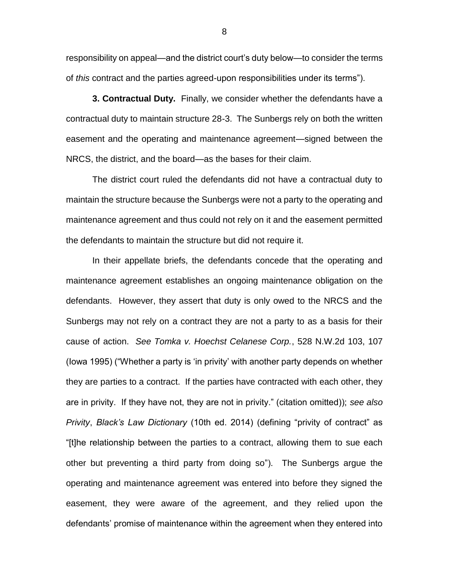responsibility on appeal—and the district court's duty below—to consider the terms of *this* contract and the parties agreed-upon responsibilities under its terms").

**3. Contractual Duty.**Finally, we consider whether the defendants have a contractual duty to maintain structure 28-3. The Sunbergs rely on both the written easement and the operating and maintenance agreement—signed between the NRCS, the district, and the board—as the bases for their claim.

The district court ruled the defendants did not have a contractual duty to maintain the structure because the Sunbergs were not a party to the operating and maintenance agreement and thus could not rely on it and the easement permitted the defendants to maintain the structure but did not require it.

In their appellate briefs, the defendants concede that the operating and maintenance agreement establishes an ongoing maintenance obligation on the defendants. However, they assert that duty is only owed to the NRCS and the Sunbergs may not rely on a contract they are not a party to as a basis for their cause of action. *See Tomka v. Hoechst Celanese Corp.*, 528 N.W.2d 103, 107 (Iowa 1995) ("Whether a party is 'in privity' with another party depends on whether they are parties to a contract. If the parties have contracted with each other, they are in privity. If they have not, they are not in privity." (citation omitted)); *see also Privity*, *Black's Law Dictionary* (10th ed. 2014) (defining "privity of contract" as "[t]he relationship between the parties to a contract, allowing them to sue each other but preventing a third party from doing so"). The Sunbergs argue the operating and maintenance agreement was entered into before they signed the easement, they were aware of the agreement, and they relied upon the defendants' promise of maintenance within the agreement when they entered into

8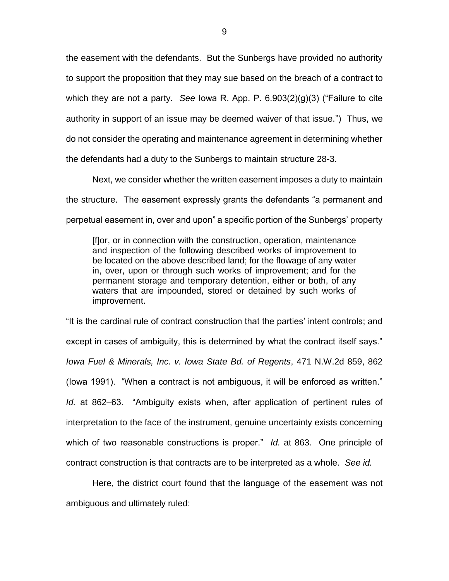the easement with the defendants. But the Sunbergs have provided no authority to support the proposition that they may sue based on the breach of a contract to which they are not a party. *See* Iowa R. App. P. 6.903(2)(g)(3) ("Failure to cite authority in support of an issue may be deemed waiver of that issue.") Thus, we do not consider the operating and maintenance agreement in determining whether the defendants had a duty to the Sunbergs to maintain structure 28-3.

Next, we consider whether the written easement imposes a duty to maintain the structure. The easement expressly grants the defendants "a permanent and perpetual easement in, over and upon" a specific portion of the Sunbergs' property

[f]or, or in connection with the construction, operation, maintenance and inspection of the following described works of improvement to be located on the above described land; for the flowage of any water in, over, upon or through such works of improvement; and for the permanent storage and temporary detention, either or both, of any waters that are impounded, stored or detained by such works of improvement.

"It is the cardinal rule of contract construction that the parties' intent controls; and except in cases of ambiguity, this is determined by what the contract itself says." *Iowa Fuel & Minerals, Inc. v. Iowa State Bd. of Regents*, 471 N.W.2d 859, 862 (Iowa 1991). "When a contract is not ambiguous, it will be enforced as written." *Id.* at 862–63. "Ambiguity exists when, after application of pertinent rules of interpretation to the face of the instrument, genuine uncertainty exists concerning which of two reasonable constructions is proper." *Id.* at 863. One principle of contract construction is that contracts are to be interpreted as a whole. *See id.* 

Here, the district court found that the language of the easement was not ambiguous and ultimately ruled: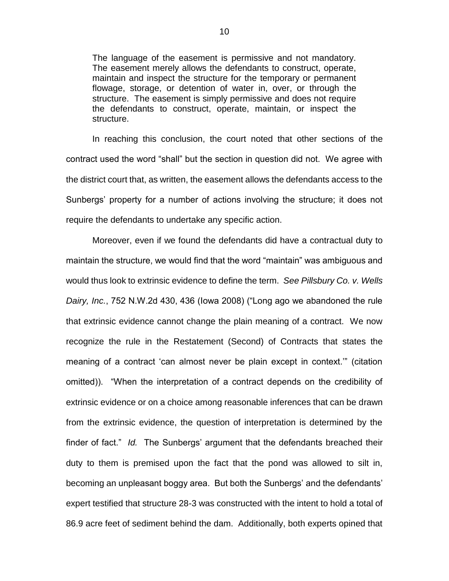The language of the easement is permissive and not mandatory. The easement merely allows the defendants to construct, operate, maintain and inspect the structure for the temporary or permanent flowage, storage, or detention of water in, over, or through the structure. The easement is simply permissive and does not require the defendants to construct, operate, maintain, or inspect the structure.

In reaching this conclusion, the court noted that other sections of the contract used the word "shall" but the section in question did not. We agree with the district court that, as written, the easement allows the defendants access to the Sunbergs' property for a number of actions involving the structure; it does not require the defendants to undertake any specific action.

Moreover, even if we found the defendants did have a contractual duty to maintain the structure, we would find that the word "maintain" was ambiguous and would thus look to extrinsic evidence to define the term. *See Pillsbury Co. v. Wells Dairy, Inc.*, 752 N.W.2d 430, 436 (Iowa 2008) ("Long ago we abandoned the rule that extrinsic evidence cannot change the plain meaning of a contract. We now recognize the rule in the Restatement (Second) of Contracts that states the meaning of a contract 'can almost never be plain except in context.'" (citation omitted)). "When the interpretation of a contract depends on the credibility of extrinsic evidence or on a choice among reasonable inferences that can be drawn from the extrinsic evidence, the question of interpretation is determined by the finder of fact." *Id.* The Sunbergs' argument that the defendants breached their duty to them is premised upon the fact that the pond was allowed to silt in, becoming an unpleasant boggy area. But both the Sunbergs' and the defendants' expert testified that structure 28-3 was constructed with the intent to hold a total of 86.9 acre feet of sediment behind the dam. Additionally, both experts opined that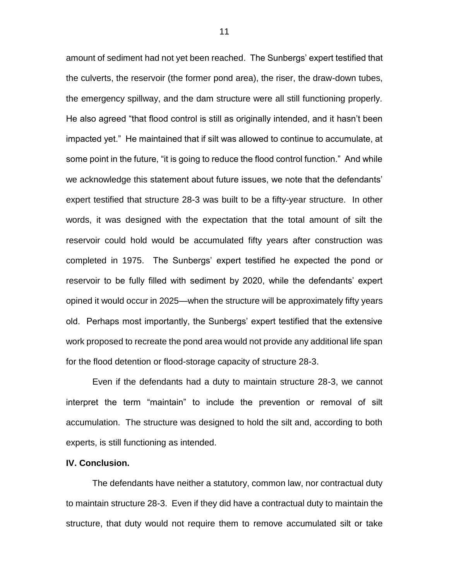amount of sediment had not yet been reached. The Sunbergs' expert testified that the culverts, the reservoir (the former pond area), the riser, the draw-down tubes, the emergency spillway, and the dam structure were all still functioning properly. He also agreed "that flood control is still as originally intended, and it hasn't been impacted yet." He maintained that if silt was allowed to continue to accumulate, at some point in the future, "it is going to reduce the flood control function." And while we acknowledge this statement about future issues, we note that the defendants' expert testified that structure 28-3 was built to be a fifty-year structure. In other words, it was designed with the expectation that the total amount of silt the reservoir could hold would be accumulated fifty years after construction was completed in 1975. The Sunbergs' expert testified he expected the pond or reservoir to be fully filled with sediment by 2020, while the defendants' expert opined it would occur in 2025—when the structure will be approximately fifty years old. Perhaps most importantly, the Sunbergs' expert testified that the extensive work proposed to recreate the pond area would not provide any additional life span for the flood detention or flood-storage capacity of structure 28-3.

Even if the defendants had a duty to maintain structure 28-3, we cannot interpret the term "maintain" to include the prevention or removal of silt accumulation. The structure was designed to hold the silt and, according to both experts, is still functioning as intended.

#### **IV. Conclusion.**

The defendants have neither a statutory, common law, nor contractual duty to maintain structure 28-3. Even if they did have a contractual duty to maintain the structure, that duty would not require them to remove accumulated silt or take